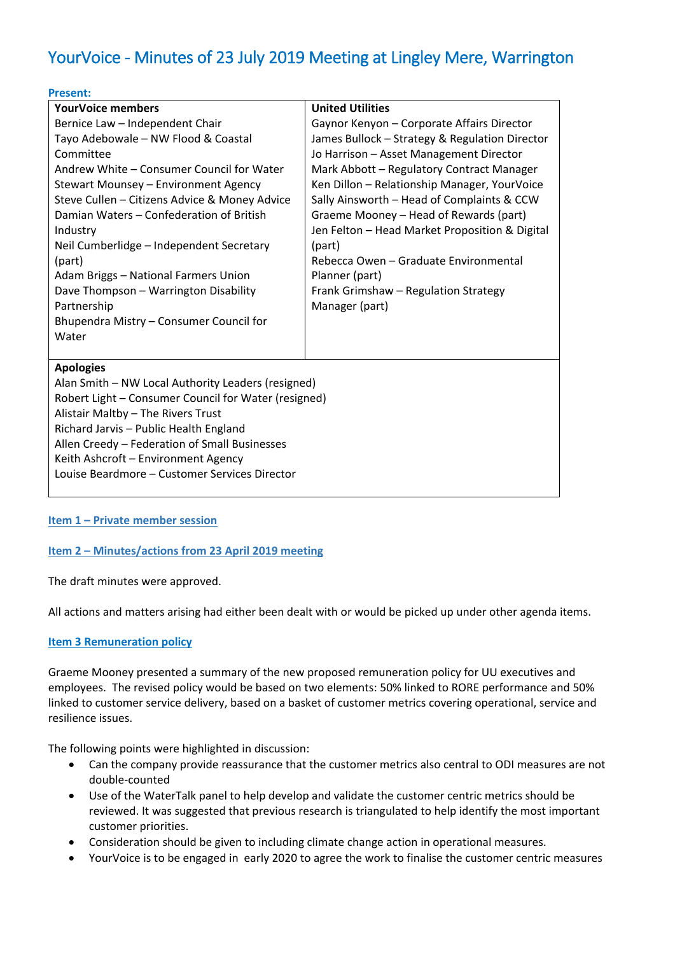# YourVoice - Minutes of 23 July 2019 Meeting at Lingley Mere, Warrington

| <b>Present:</b>                                                                                                                                                                                                                                                                                                                                                                                                                                                                             |                                                                                                                                                                                                                                                                                                                                                                                                                                                                                                               |
|---------------------------------------------------------------------------------------------------------------------------------------------------------------------------------------------------------------------------------------------------------------------------------------------------------------------------------------------------------------------------------------------------------------------------------------------------------------------------------------------|---------------------------------------------------------------------------------------------------------------------------------------------------------------------------------------------------------------------------------------------------------------------------------------------------------------------------------------------------------------------------------------------------------------------------------------------------------------------------------------------------------------|
| <b>YourVoice members</b>                                                                                                                                                                                                                                                                                                                                                                                                                                                                    | <b>United Utilities</b>                                                                                                                                                                                                                                                                                                                                                                                                                                                                                       |
| Bernice Law - Independent Chair<br>Tayo Adebowale - NW Flood & Coastal<br>Committee<br>Andrew White - Consumer Council for Water<br>Stewart Mounsey - Environment Agency<br>Steve Cullen - Citizens Advice & Money Advice<br>Damian Waters - Confederation of British<br>Industry<br>Neil Cumberlidge - Independent Secretary<br>(part)<br>Adam Briggs - National Farmers Union<br>Dave Thompson - Warrington Disability<br>Partnership<br>Bhupendra Mistry - Consumer Council for<br>Water | Gaynor Kenyon - Corporate Affairs Director<br>James Bullock - Strategy & Regulation Director<br>Jo Harrison - Asset Management Director<br>Mark Abbott - Regulatory Contract Manager<br>Ken Dillon - Relationship Manager, YourVoice<br>Sally Ainsworth - Head of Complaints & CCW<br>Graeme Mooney - Head of Rewards (part)<br>Jen Felton - Head Market Proposition & Digital<br>(part)<br>Rebecca Owen - Graduate Environmental<br>Planner (part)<br>Frank Grimshaw - Regulation Strategy<br>Manager (part) |
| <b>Apologies</b><br>Alan Smith - NW Local Authority Leaders (resigned)<br>Robert Light - Consumer Council for Water (resigned)<br>Alistair Maltby - The Rivers Trust<br>Richard Jarvis - Public Health England<br>Allen Creedy - Federation of Small Businesses<br>Keith Ashcroft - Environment Agency<br>Louise Beardmore - Customer Services Director                                                                                                                                     |                                                                                                                                                                                                                                                                                                                                                                                                                                                                                                               |

# **Item 1 – Private member session**

#### **Item 2 – Minutes/actions from 23 April 2019 meeting**

The draft minutes were approved.

All actions and matters arising had either been dealt with or would be picked up under other agenda items.

#### **Item 3 Remuneration policy**

Graeme Mooney presented a summary of the new proposed remuneration policy for UU executives and employees. The revised policy would be based on two elements: 50% linked to RORE performance and 50% linked to customer service delivery, based on a basket of customer metrics covering operational, service and resilience issues.

The following points were highlighted in discussion:

- Can the company provide reassurance that the customer metrics also central to ODI measures are not double-counted
- Use of the WaterTalk panel to help develop and validate the customer centric metrics should be reviewed. It was suggested that previous research is triangulated to help identify the most important customer priorities.
- Consideration should be given to including climate change action in operational measures.
- YourVoice is to be engaged in early 2020 to agree the work to finalise the customer centric measures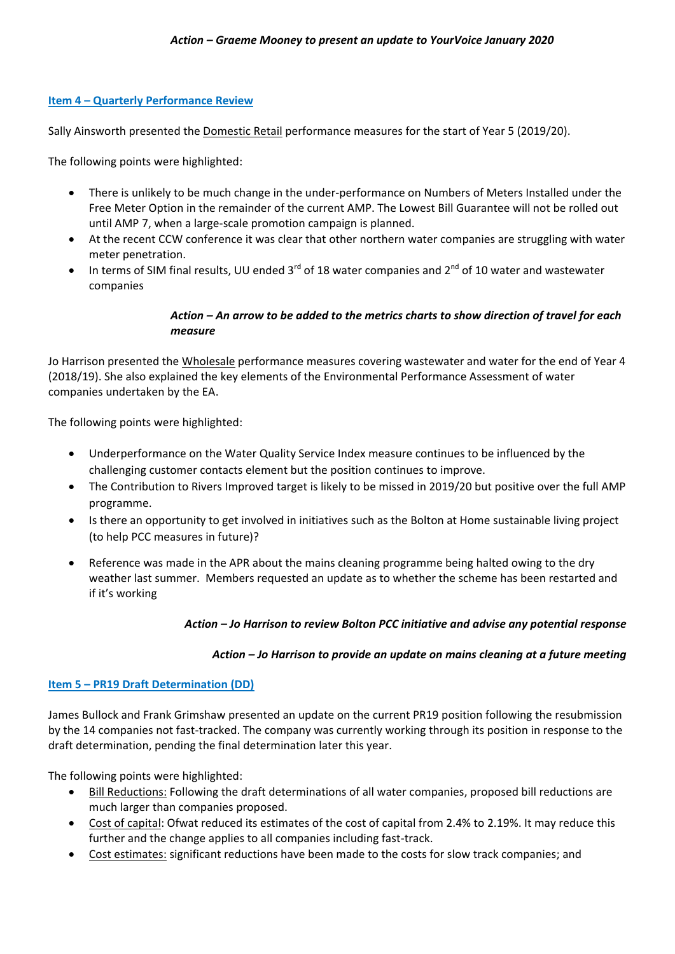#### **Item 4 – Quarterly Performance Review**

Sally Ainsworth presented the Domestic Retail performance measures for the start of Year 5 (2019/20).

The following points were highlighted:

- There is unlikely to be much change in the under-performance on Numbers of Meters Installed under the Free Meter Option in the remainder of the current AMP. The Lowest Bill Guarantee will not be rolled out until AMP 7, when a large-scale promotion campaign is planned.
- At the recent CCW conference it was clear that other northern water companies are struggling with water meter penetration.
- In terms of SIM final results, UU ended 3 $^{rd}$  of 18 water companies and 2 $^{nd}$  of 10 water and wastewater companies

# *Action – An arrow to be added to the metrics charts to show direction of travel for each measure*

Jo Harrison presented the Wholesale performance measures covering wastewater and water for the end of Year 4 (2018/19). She also explained the key elements of the Environmental Performance Assessment of water companies undertaken by the EA.

The following points were highlighted:

- Underperformance on the Water Quality Service Index measure continues to be influenced by the challenging customer contacts element but the position continues to improve.
- The Contribution to Rivers Improved target is likely to be missed in 2019/20 but positive over the full AMP programme.
- Is there an opportunity to get involved in initiatives such as the Bolton at Home sustainable living project (to help PCC measures in future)?
- Reference was made in the APR about the mains cleaning programme being halted owing to the dry weather last summer. Members requested an update as to whether the scheme has been restarted and if it's working

# *Action – Jo Harrison to review Bolton PCC initiative and advise any potential response*

#### *Action – Jo Harrison to provide an update on mains cleaning at a future meeting*

#### **Item 5 – PR19 Draft Determination (DD)**

James Bullock and Frank Grimshaw presented an update on the current PR19 position following the resubmission by the 14 companies not fast-tracked. The company was currently working through its position in response to the draft determination, pending the final determination later this year.

The following points were highlighted:

- Bill Reductions: Following the draft determinations of all water companies, proposed bill reductions are much larger than companies proposed.
- Cost of capital: Ofwat reduced its estimates of the cost of capital from 2.4% to 2.19%. It may reduce this further and the change applies to all companies including fast-track.
- Cost estimates: significant reductions have been made to the costs for slow track companies; and